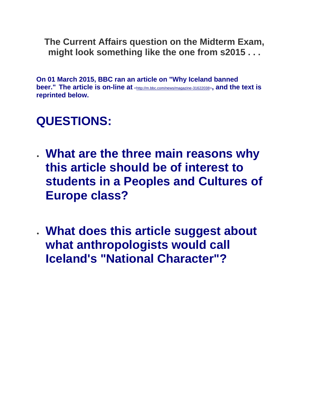**The Current Affairs question on the Midterm Exam, might look something like the one from s2015 . . .**

**On 01 March 2015, BBC ran an article on "Why Iceland banned beer." The article is on-line at** [<http://m.bbc.com/news/magazine-31622038>](http://m.bbc.com/news/magazine-31622038)**, and the text is reprinted below.**

## **QUESTIONS:**

- **What are the three main reasons why this article should be of interest to students in a Peoples and Cultures of Europe class?**
- **What does this article suggest about what anthropologists would call Iceland's "National Character"?**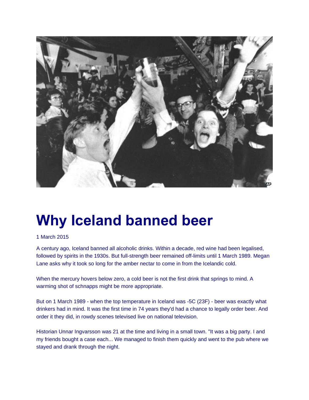

## **Why Iceland banned beer**

## 1 March 2015

A century ago, Iceland banned all alcoholic drinks. Within a decade, red wine had been legalised, followed by spirits in the 1930s. But full-strength beer remained off-limits until 1 March 1989. Megan Lane asks why it took so long for the amber nectar to come in from the Icelandic cold.

When the mercury hovers below zero, a cold beer is not the first drink that springs to mind. A warming shot of schnapps might be more appropriate.

But on 1 March 1989 - when the top temperature in Iceland was -5C (23F) - beer was exactly what drinkers had in mind. It was the first time in 74 years they'd had a chance to legally order beer. And order it they did, in rowdy scenes televised live on national television.

Historian Unnar Ingvarsson was 21 at the time and living in a small town. "It was a big party. I and my friends bought a case each... We managed to finish them quickly and went to the pub where we stayed and drank through the night.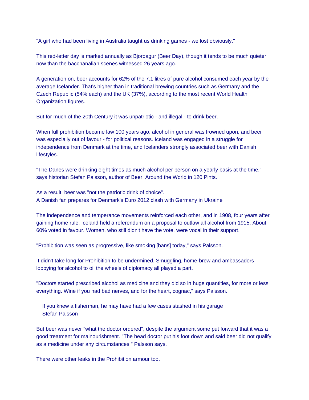"A girl who had been living in Australia taught us drinking games - we lost obviously."

This red-letter day is marked annually as Bjordagur (Beer Day), though it tends to be much quieter now than the bacchanalian scenes witnessed 26 years ago.

A generation on, beer accounts for 62% of the 7.1 litres of pure alcohol consumed each year by the average Icelander. That's higher than in traditional brewing countries such as Germany and the Czech Republic (54% each) and the UK (37%), according to the most recent World Health Organization figures.

But for much of the 20th Century it was unpatriotic - and illegal - to drink beer.

When full prohibition became law 100 years ago, alcohol in general was frowned upon, and beer was especially out of favour - for political reasons. Iceland was engaged in a struggle for independence from Denmark at the time, and Icelanders strongly associated beer with Danish lifestyles.

"The Danes were drinking eight times as much alcohol per person on a yearly basis at the time," says historian Stefan Palsson, author of Beer: Around the World in 120 Pints.

As a result, beer was "not the patriotic drink of choice". A Danish fan prepares for Denmark's Euro 2012 clash with Germany in Ukraine

The independence and temperance movements reinforced each other, and in 1908, four years after gaining home rule, Iceland held a referendum on a proposal to outlaw all alcohol from 1915. About 60% voted in favour. Women, who still didn't have the vote, were vocal in their support.

"Prohibition was seen as progressive, like smoking [bans] today," says Palsson.

It didn't take long for Prohibition to be undermined. Smuggling, home-brew and ambassadors lobbying for alcohol to oil the wheels of diplomacy all played a part.

"Doctors started prescribed alcohol as medicine and they did so in huge quantities, for more or less everything. Wine if you had bad nerves, and for the heart, cognac," says Palsson.

 If you knew a fisherman, he may have had a few cases stashed in his garage Stefan Palsson

But beer was never "what the doctor ordered", despite the argument some put forward that it was a good treatment for malnourishment. "The head doctor put his foot down and said beer did not qualify as a medicine under any circumstances," Palsson says.

There were other leaks in the Prohibition armour too.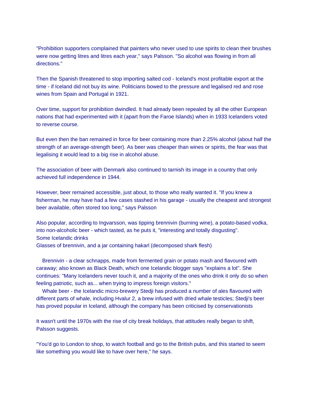"Prohibition supporters complained that painters who never used to use spirits to clean their brushes were now getting litres and litres each year," says Palsson. "So alcohol was flowing in from all directions."

Then the Spanish threatened to stop importing salted cod - Iceland's most profitable export at the time - if Iceland did not buy its wine. Politicians bowed to the pressure and legalised red and rose wines from Spain and Portugal in 1921.

Over time, support for prohibition dwindled. It had already been repealed by all the other European nations that had experimented with it (apart from the Faroe Islands) when in 1933 Icelanders voted to reverse course.

But even then the ban remained in force for beer containing more than 2.25% alcohol (about half the strength of an average-strength beer). As beer was cheaper than wines or spirits, the fear was that legalising it would lead to a big rise in alcohol abuse.

The association of beer with Denmark also continued to tarnish its image in a country that only achieved full independence in 1944.

However, beer remained accessible, just about, to those who really wanted it. "If you knew a fisherman, he may have had a few cases stashed in his garage - usually the cheapest and strongest beer available, often stored too long," says Palsson

Also popular, according to Ingvarsson, was tipping brennivin (burning wine), a potato-based vodka, into non-alcoholic beer - which tasted, as he puts it, "interesting and totally disgusting". Some Icelandic drinks

Glasses of brennivin, and a jar containing hakarl (decomposed shark flesh)

 Brennivin - a clear schnapps, made from fermented grain or potato mash and flavoured with caraway; also known as Black Death, which one Icelandic blogger says "explains a lot". She continues: "Many Icelanders never touch it, and a majority of the ones who drink it only do so when feeling patriotic, such as... when trying to impress foreign visitors."

 Whale beer - the Icelandic micro-brewery Stedji has produced a number of ales flavoured with different parts of whale, including Hvalur 2, a brew infused with dried whale testicles; Stedji's beer has proved popular in Iceland, although the company has been criticised by conservationists

It wasn't until the 1970s with the rise of city break holidays, that attitudes really began to shift, Palsson suggests.

"You'd go to London to shop, to watch football and go to the British pubs, and this started to seem like something you would like to have over here," he says.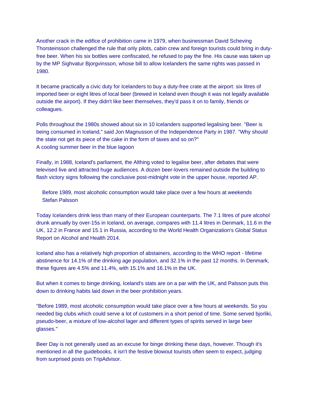Another crack in the edifice of prohibition came in 1979, when businessman David Scheving Thorsteinsson challenged the rule that only pilots, cabin crew and foreign tourists could bring in dutyfree beer. When his six bottles were confiscated, he refused to pay the fine. His cause was taken up by the MP Sighvatur Bjorgvinsson, whose bill to allow Icelanders the same rights was passed in 1980.

It became practically a civic duty for Icelanders to buy a duty-free crate at the airport: six litres of imported beer or eight litres of local beer (brewed in Iceland even though it was not legally available outside the airport). If they didn't like beer themselves, they'd pass it on to family, friends or colleagues.

Polls throughout the 1980s showed about six in 10 Icelanders supported legalising beer. "Beer is being consumed in Iceland," said Jon Magnusson of the Independence Party in 1987. "Why should the state not get its piece of the cake in the form of taxes and so on?" A cooling summer beer in the blue lagoon

Finally, in 1988, Iceland's parliament, the Althing voted to legalise beer, after debates that were televised live and attracted huge audiences. A dozen beer-lovers remained outside the building to flash victory signs following the conclusive post-midnight vote in the upper house, reported AP.

 Before 1989, most alcoholic consumption would take place over a few hours at weekends Stefan Palsson

Today Icelanders drink less than many of their European counterparts. The 7.1 litres of pure alcohol drunk annually by over-15s in Iceland, on average, compares with 11.4 litres in Denmark, 11.6 in the UK, 12.2 in France and 15.1 in Russia, according to the World Health Organization's Global Status Report on Alcohol and Health 2014.

Iceland also has a relatively high proportion of abstainers, according to the WHO report - lifetime abstinence for 14.1% of the drinking age population, and 32.1% in the past 12 months. In Denmark, these figures are 4.5% and 11.4%, with 15.1% and 16.1% in the UK.

But when it comes to binge drinking, Iceland's stats are on a par with the UK, and Palsson puts this down to drinking habits laid down in the beer prohibition years.

"Before 1989, most alcoholic consumption would take place over a few hours at weekends. So you needed big clubs which could serve a lot of customers in a short period of time. Some served bjorliki, pseudo-beer, a mixture of low-alcohol lager and different types of spirits served in large beer glasses."

Beer Day is not generally used as an excuse for binge drinking these days, however. Though it's mentioned in all the guidebooks, it isn't the festive blowout tourists often seem to expect, judging from surprised posts on TripAdvisor.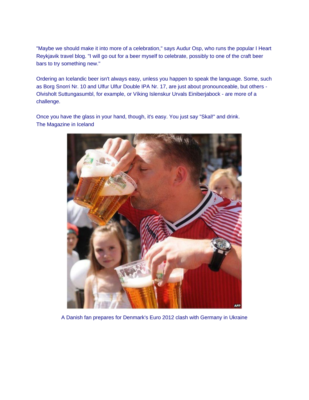"Maybe we should make it into more of a celebration," says Audur Osp, who runs the popular I Heart Reykjavik travel blog. "I will go out for a beer myself to celebrate, possibly to one of the craft beer bars to try something new."

Ordering an Icelandic beer isn't always easy, unless you happen to speak the language. Some, such as Borg Snorri Nr. 10 and Ulfur Ulfur Double IPA Nr. 17, are just about pronounceable, but others - Olvisholt Suttungasumbl, for example, or Víking Islenskur Urvals Einiberjabock - are more of a challenge.

Once you have the glass in your hand, though, it's easy. You just say "Skal!" and drink. The Magazine in Iceland



A Danish fan prepares for Denmark's Euro 2012 clash with Germany in Ukraine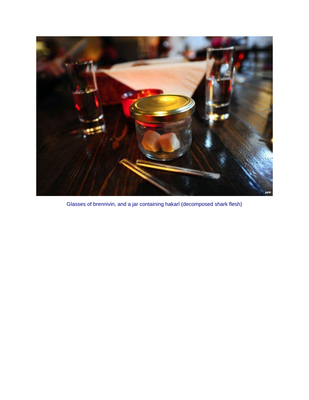

Glasses of brennivin, and a jar containing hakarl (decomposed shark flesh)